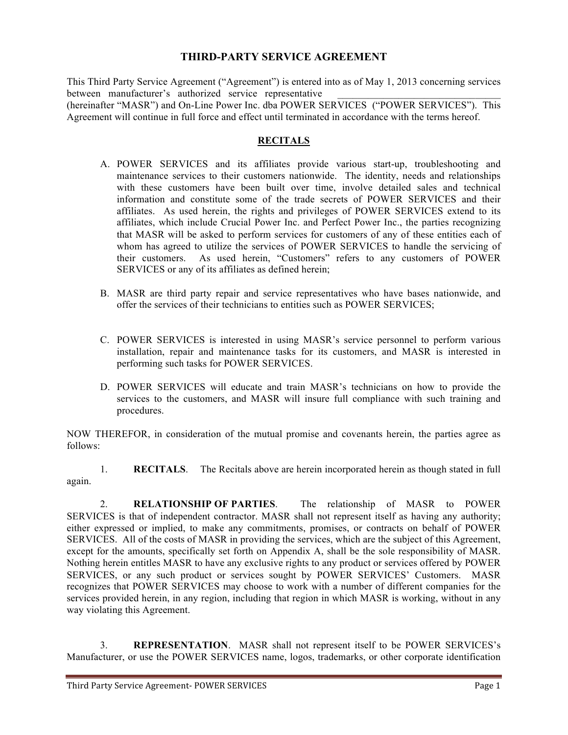## **THIRD-PARTY SERVICE AGREEMENT**

This Third Party Service Agreement ("Agreement") is entered into as of May 1, 2013 concerning services between manufacturer's authorized service representative (hereinafter "MASR") and On-Line Power Inc. dba POWER SERVICES ("POWER SERVICES"). This Agreement will continue in full force and effect until terminated in accordance with the terms hereof.

## **RECITALS**

- A. POWER SERVICES and its affiliates provide various start-up, troubleshooting and maintenance services to their customers nationwide. The identity, needs and relationships with these customers have been built over time, involve detailed sales and technical information and constitute some of the trade secrets of POWER SERVICES and their affiliates. As used herein, the rights and privileges of POWER SERVICES extend to its affiliates, which include Crucial Power Inc. and Perfect Power Inc., the parties recognizing that MASR will be asked to perform services for customers of any of these entities each of whom has agreed to utilize the services of POWER SERVICES to handle the servicing of their customers. As used herein, "Customers" refers to any customers of POWER SERVICES or any of its affiliates as defined herein;
- B. MASR are third party repair and service representatives who have bases nationwide, and offer the services of their technicians to entities such as POWER SERVICES;
- C. POWER SERVICES is interested in using MASR's service personnel to perform various installation, repair and maintenance tasks for its customers, and MASR is interested in performing such tasks for POWER SERVICES.
- D. POWER SERVICES will educate and train MASR's technicians on how to provide the services to the customers, and MASR will insure full compliance with such training and procedures.

NOW THEREFOR, in consideration of the mutual promise and covenants herein, the parties agree as follows:

1. **RECITALS**. The Recitals above are herein incorporated herein as though stated in full again.

2. **RELATIONSHIP OF PARTIES**. The relationship of MASR to POWER SERVICES is that of independent contractor. MASR shall not represent itself as having any authority; either expressed or implied, to make any commitments, promises, or contracts on behalf of POWER SERVICES. All of the costs of MASR in providing the services, which are the subject of this Agreement, except for the amounts, specifically set forth on Appendix A, shall be the sole responsibility of MASR. Nothing herein entitles MASR to have any exclusive rights to any product or services offered by POWER SERVICES, or any such product or services sought by POWER SERVICES' Customers. MASR recognizes that POWER SERVICES may choose to work with a number of different companies for the services provided herein, in any region, including that region in which MASR is working, without in any way violating this Agreement.

3. **REPRESENTATION**. MASR shall not represent itself to be POWER SERVICES's Manufacturer, or use the POWER SERVICES name, logos, trademarks, or other corporate identification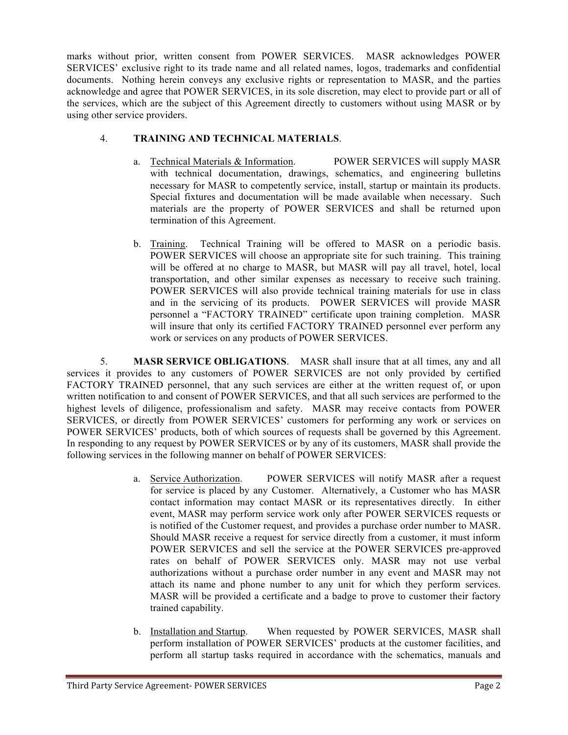marks without prior, written consent from POWER SERVICES. MASR acknowledges POWER SERVICES' exclusive right to its trade name and all related names, logos, trademarks and confidential documents. Nothing herein conveys any exclusive rights or representation to MASR, and the parties acknowledge and agree that POWER SERVICES, in its sole discretion, may elect to provide part or all of the services, which are the subject of this Agreement directly to customers without using MASR or by using other service providers.

## 4. **TRAINING AND TECHNICAL MATERIALS**.

- a. Technical Materials & Information. POWER SERVICES will supply MASR with technical documentation, drawings, schematics, and engineering bulletins necessary for MASR to competently service, install, startup or maintain its products. Special fixtures and documentation will be made available when necessary. Such materials are the property of POWER SERVICES and shall be returned upon termination of this Agreement.
- b. Training. Technical Training will be offered to MASR on a periodic basis. POWER SERVICES will choose an appropriate site for such training. This training will be offered at no charge to MASR, but MASR will pay all travel, hotel, local transportation, and other similar expenses as necessary to receive such training. POWER SERVICES will also provide technical training materials for use in class and in the servicing of its products. POWER SERVICES will provide MASR personnel a "FACTORY TRAINED" certificate upon training completion. MASR will insure that only its certified FACTORY TRAINED personnel ever perform any work or services on any products of POWER SERVICES.

5. **MASR SERVICE OBLIGATIONS**. MASR shall insure that at all times, any and all services it provides to any customers of POWER SERVICES are not only provided by certified FACTORY TRAINED personnel, that any such services are either at the written request of, or upon written notification to and consent of POWER SERVICES, and that all such services are performed to the highest levels of diligence, professionalism and safety. MASR may receive contacts from POWER SERVICES, or directly from POWER SERVICES' customers for performing any work or services on POWER SERVICES' products, both of which sources of requests shall be governed by this Agreement. In responding to any request by POWER SERVICES or by any of its customers, MASR shall provide the following services in the following manner on behalf of POWER SERVICES:

- a. Service Authorization. POWER SERVICES will notify MASR after a request for service is placed by any Customer. Alternatively, a Customer who has MASR contact information may contact MASR or its representatives directly. In either event, MASR may perform service work only after POWER SERVICES requests or is notified of the Customer request, and provides a purchase order number to MASR. Should MASR receive a request for service directly from a customer, it must inform POWER SERVICES and sell the service at the POWER SERVICES pre-approved rates on behalf of POWER SERVICES only. MASR may not use verbal authorizations without a purchase order number in any event and MASR may not attach its name and phone number to any unit for which they perform services. MASR will be provided a certificate and a badge to prove to customer their factory trained capability.
- b. Installation and Startup. When requested by POWER SERVICES, MASR shall perform installation of POWER SERVICES' products at the customer facilities, and perform all startup tasks required in accordance with the schematics, manuals and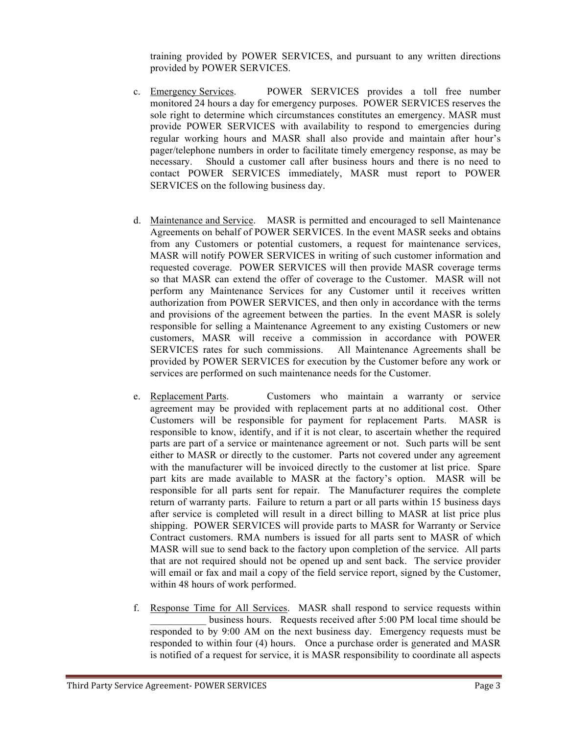training provided by POWER SERVICES, and pursuant to any written directions provided by POWER SERVICES.

- c. Emergency Services. POWER SERVICES provides a toll free number monitored 24 hours a day for emergency purposes. POWER SERVICES reserves the sole right to determine which circumstances constitutes an emergency. MASR must provide POWER SERVICES with availability to respond to emergencies during regular working hours and MASR shall also provide and maintain after hour's pager/telephone numbers in order to facilitate timely emergency response, as may be necessary. Should a customer call after business hours and there is no need to contact POWER SERVICES immediately, MASR must report to POWER SERVICES on the following business day.
- d. Maintenance and Service. MASR is permitted and encouraged to sell Maintenance Agreements on behalf of POWER SERVICES. In the event MASR seeks and obtains from any Customers or potential customers, a request for maintenance services, MASR will notify POWER SERVICES in writing of such customer information and requested coverage. POWER SERVICES will then provide MASR coverage terms so that MASR can extend the offer of coverage to the Customer. MASR will not perform any Maintenance Services for any Customer until it receives written authorization from POWER SERVICES, and then only in accordance with the terms and provisions of the agreement between the parties. In the event MASR is solely responsible for selling a Maintenance Agreement to any existing Customers or new customers, MASR will receive a commission in accordance with POWER SERVICES rates for such commissions. All Maintenance Agreements shall be provided by POWER SERVICES for execution by the Customer before any work or services are performed on such maintenance needs for the Customer.
- e. Replacement Parts. Customers who maintain a warranty or service agreement may be provided with replacement parts at no additional cost. Other Customers will be responsible for payment for replacement Parts. MASR is responsible to know, identify, and if it is not clear, to ascertain whether the required parts are part of a service or maintenance agreement or not. Such parts will be sent either to MASR or directly to the customer. Parts not covered under any agreement with the manufacturer will be invoiced directly to the customer at list price. Spare part kits are made available to MASR at the factory's option. MASR will be responsible for all parts sent for repair. The Manufacturer requires the complete return of warranty parts. Failure to return a part or all parts within 15 business days after service is completed will result in a direct billing to MASR at list price plus shipping. POWER SERVICES will provide parts to MASR for Warranty or Service Contract customers. RMA numbers is issued for all parts sent to MASR of which MASR will sue to send back to the factory upon completion of the service. All parts that are not required should not be opened up and sent back. The service provider will email or fax and mail a copy of the field service report, signed by the Customer, within 48 hours of work performed.
- f. Response Time for All Services. MASR shall respond to service requests within business hours. Requests received after 5:00 PM local time should be responded to by 9:00 AM on the next business day. Emergency requests must be responded to within four (4) hours. Once a purchase order is generated and MASR is notified of a request for service, it is MASR responsibility to coordinate all aspects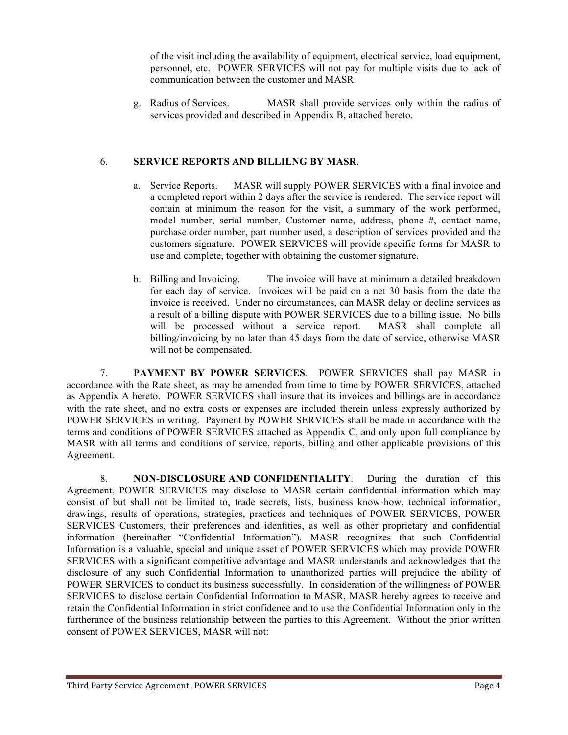of the visit including the availability of equipment, electrical service, load equipment, personnel, etc. POWER SERVICES will not pay for multiple visits due to lack of communication between the customer and MASR.

g. Radius of Services. MASR shall provide services only within the radius of services provided and described in Appendix B, attached hereto.

## 6. **SERVICE REPORTS AND BILLILNG BY MASR**.

- a. Service Reports. MASR will supply POWER SERVICES with a final invoice and a completed report within 2 days after the service is rendered. The service report will contain at minimum the reason for the visit, a summary of the work performed, model number, serial number, Customer name, address, phone #, contact name, purchase order number, part number used, a description of services provided and the customers signature. POWER SERVICES will provide specific forms for MASR to use and complete, together with obtaining the customer signature.
- b. Billing and Invoicing. The invoice will have at minimum a detailed breakdown for each day of service. Invoices will be paid on a net 30 basis from the date the invoice is received. Under no circumstances, can MASR delay or decline services as a result of a billing dispute with POWER SERVICES due to a billing issue. No bills will be processed without a service report. MASR shall complete all billing/invoicing by no later than 45 days from the date of service, otherwise MASR will not be compensated.

7. **PAYMENT BY POWER SERVICES**. POWER SERVICES shall pay MASR in accordance with the Rate sheet, as may be amended from time to time by POWER SERVICES, attached as Appendix A hereto. POWER SERVICES shall insure that its invoices and billings are in accordance with the rate sheet, and no extra costs or expenses are included therein unless expressly authorized by POWER SERVICES in writing. Payment by POWER SERVICES shall be made in accordance with the terms and conditions of POWER SERVICES attached as Appendix C, and only upon full compliance by MASR with all terms and conditions of service, reports, billing and other applicable provisions of this Agreement.

8. **NON-DISCLOSURE AND CONFIDENTIALITY**. During the duration of this Agreement, POWER SERVICES may disclose to MASR certain confidential information which may consist of but shall not be limited to, trade secrets, lists, business know-how, technical information, drawings, results of operations, strategies, practices and techniques of POWER SERVICES, POWER SERVICES Customers, their preferences and identities, as well as other proprietary and confidential information (hereinafter "Confidential Information"). MASR recognizes that such Confidential Information is a valuable, special and unique asset of POWER SERVICES which may provide POWER SERVICES with a significant competitive advantage and MASR understands and acknowledges that the disclosure of any such Confidential Information to unauthorized parties will prejudice the ability of POWER SERVICES to conduct its business successfully. In consideration of the willingness of POWER SERVICES to disclose certain Confidential Information to MASR, MASR hereby agrees to receive and retain the Confidential Information in strict confidence and to use the Confidential Information only in the furtherance of the business relationship between the parties to this Agreement. Without the prior written consent of POWER SERVICES, MASR will not: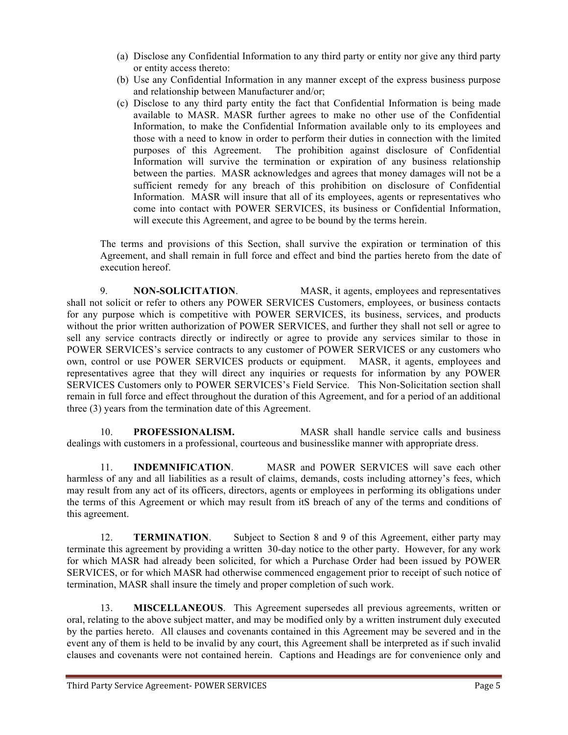- (a) Disclose any Confidential Information to any third party or entity nor give any third party or entity access thereto:
- (b) Use any Confidential Information in any manner except of the express business purpose and relationship between Manufacturer and/or;
- (c) Disclose to any third party entity the fact that Confidential Information is being made available to MASR. MASR further agrees to make no other use of the Confidential Information, to make the Confidential Information available only to its employees and those with a need to know in order to perform their duties in connection with the limited purposes of this Agreement. The prohibition against disclosure of Confidential Information will survive the termination or expiration of any business relationship between the parties. MASR acknowledges and agrees that money damages will not be a sufficient remedy for any breach of this prohibition on disclosure of Confidential Information. MASR will insure that all of its employees, agents or representatives who come into contact with POWER SERVICES, its business or Confidential Information, will execute this Agreement, and agree to be bound by the terms herein.

The terms and provisions of this Section, shall survive the expiration or termination of this Agreement, and shall remain in full force and effect and bind the parties hereto from the date of execution hereof.

9. **NON-SOLICITATION**. MASR, it agents, employees and representatives shall not solicit or refer to others any POWER SERVICES Customers, employees, or business contacts for any purpose which is competitive with POWER SERVICES, its business, services, and products without the prior written authorization of POWER SERVICES, and further they shall not sell or agree to sell any service contracts directly or indirectly or agree to provide any services similar to those in POWER SERVICES's service contracts to any customer of POWER SERVICES or any customers who own, control or use POWER SERVICES products or equipment. MASR, it agents, employees and representatives agree that they will direct any inquiries or requests for information by any POWER SERVICES Customers only to POWER SERVICES's Field Service. This Non-Solicitation section shall remain in full force and effect throughout the duration of this Agreement, and for a period of an additional three (3) years from the termination date of this Agreement.

10. **PROFESSIONALISM.** MASR shall handle service calls and business dealings with customers in a professional, courteous and businesslike manner with appropriate dress.

11. **INDEMNIFICATION**. MASR and POWER SERVICES will save each other harmless of any and all liabilities as a result of claims, demands, costs including attorney's fees, which may result from any act of its officers, directors, agents or employees in performing its obligations under the terms of this Agreement or which may result from itS breach of any of the terms and conditions of this agreement.

12. **TERMINATION**. Subject to Section 8 and 9 of this Agreement, either party may terminate this agreement by providing a written 30-day notice to the other party. However, for any work for which MASR had already been solicited, for which a Purchase Order had been issued by POWER SERVICES, or for which MASR had otherwise commenced engagement prior to receipt of such notice of termination, MASR shall insure the timely and proper completion of such work.

13. **MISCELLANEOUS**. This Agreement supersedes all previous agreements, written or oral, relating to the above subject matter, and may be modified only by a written instrument duly executed by the parties hereto. All clauses and covenants contained in this Agreement may be severed and in the event any of them is held to be invalid by any court, this Agreement shall be interpreted as if such invalid clauses and covenants were not contained herein. Captions and Headings are for convenience only and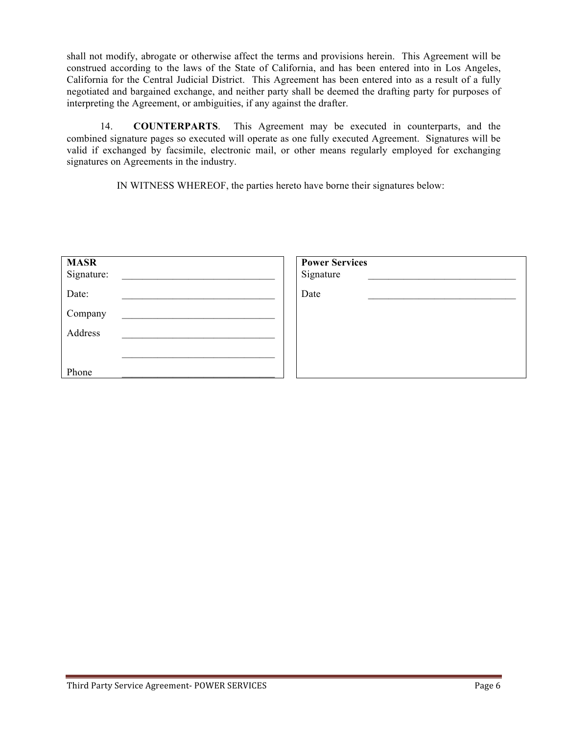shall not modify, abrogate or otherwise affect the terms and provisions herein. This Agreement will be construed according to the laws of the State of California, and has been entered into in Los Angeles, California for the Central Judicial District. This Agreement has been entered into as a result of a fully negotiated and bargained exchange, and neither party shall be deemed the drafting party for purposes of interpreting the Agreement, or ambiguities, if any against the drafter.

14. **COUNTERPARTS**. This Agreement may be executed in counterparts, and the combined signature pages so executed will operate as one fully executed Agreement. Signatures will be valid if exchanged by facsimile, electronic mail, or other means regularly employed for exchanging signatures on Agreements in the industry.

IN WITNESS WHEREOF, the parties hereto have borne their signatures below:

| <b>MASR</b><br>Signature: | <b>Power Services</b><br>Signature |
|---------------------------|------------------------------------|
| Date:                     | Date                               |
| Company                   |                                    |
| Address                   |                                    |
|                           |                                    |
| Phone                     |                                    |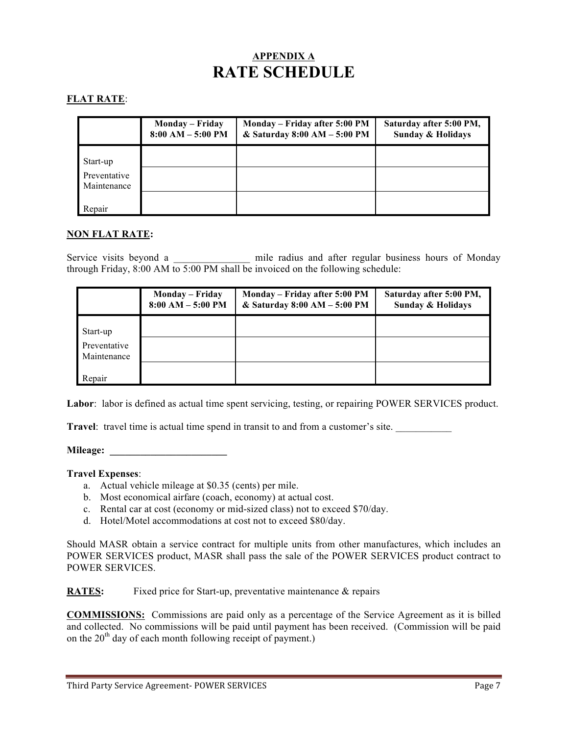# **APPENDIX A RATE SCHEDULE**

## **FLAT RATE**:

|                             | <b>Monday – Friday</b><br>$8:00 AM - 5:00 PM$ | Monday – Friday after 5:00 PM<br>& Saturday 8:00 AM - 5:00 PM | Saturday after 5:00 PM,<br><b>Sunday &amp; Holidays</b> |
|-----------------------------|-----------------------------------------------|---------------------------------------------------------------|---------------------------------------------------------|
| Start-up                    |                                               |                                                               |                                                         |
| Preventative<br>Maintenance |                                               |                                                               |                                                         |
| Repair                      |                                               |                                                               |                                                         |

#### **NON FLAT RATE:**

Service visits beyond a \_\_\_\_\_\_\_\_\_\_\_\_\_\_\_ mile radius and after regular business hours of Monday through Friday, 8:00 AM to 5:00 PM shall be invoiced on the following schedule:

|                             | Monday – Friday<br>$8:00 AM - 5:00 PM$ | Monday – Friday after 5:00 PM<br>& Saturday 8:00 AM - 5:00 PM | Saturday after 5:00 PM,<br><b>Sunday &amp; Holidays</b> |
|-----------------------------|----------------------------------------|---------------------------------------------------------------|---------------------------------------------------------|
| Start-up                    |                                        |                                                               |                                                         |
| Preventative<br>Maintenance |                                        |                                                               |                                                         |
| Repair                      |                                        |                                                               |                                                         |

Labor: labor is defined as actual time spent servicing, testing, or repairing POWER SERVICES product.

**Travel:** travel time is actual time spend in transit to and from a customer's site.

**Mileage:**  $\blacksquare$ 

#### **Travel Expenses**:

- a. Actual vehicle mileage at \$0.35 (cents) per mile.
- b. Most economical airfare (coach, economy) at actual cost.
- c. Rental car at cost (economy or mid-sized class) not to exceed \$70/day.
- d. Hotel/Motel accommodations at cost not to exceed \$80/day.

Should MASR obtain a service contract for multiple units from other manufactures, which includes an POWER SERVICES product, MASR shall pass the sale of the POWER SERVICES product contract to POWER SERVICES.

**RATES:** Fixed price for Start-up, preventative maintenance & repairs

**COMMISSIONS:** Commissions are paid only as a percentage of the Service Agreement as it is billed and collected. No commissions will be paid until payment has been received. (Commission will be paid on the  $20<sup>th</sup>$  day of each month following receipt of payment.)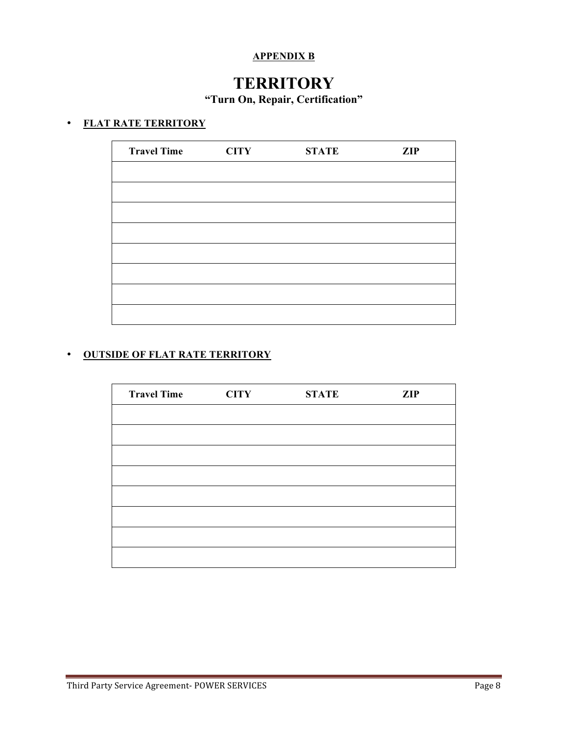## **APPENDIX B**

# **TERRITORY**

**"Turn On, Repair, Certification"**

## • **FLAT RATE TERRITORY**

| <b>CITY</b> | <b>STATE</b> | <b>ZIP</b> |
|-------------|--------------|------------|
|             |              |            |
|             |              |            |
|             |              |            |
|             |              |            |
|             |              |            |
|             |              |            |
|             |              |            |
|             |              |            |
|             |              |            |

## • **OUTSIDE OF FLAT RATE TERRITORY**

| <b>Travel Time</b> | <b>CITY</b> | <b>STATE</b> | <b>ZIP</b> |
|--------------------|-------------|--------------|------------|
|                    |             |              |            |
|                    |             |              |            |
|                    |             |              |            |
|                    |             |              |            |
|                    |             |              |            |
|                    |             |              |            |
|                    |             |              |            |
|                    |             |              |            |